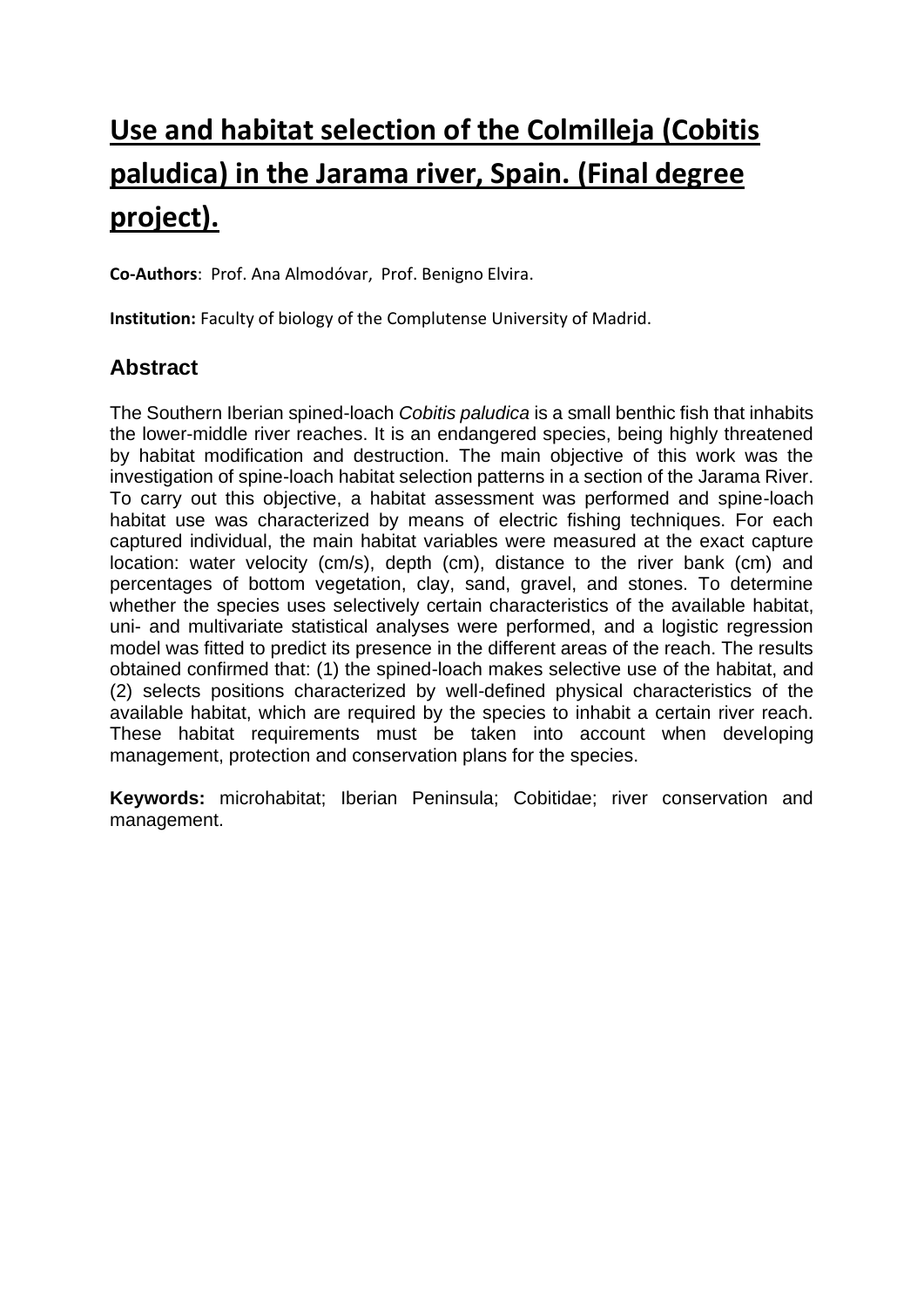## **Use and habitat selection of the Colmilleja (Cobitis paludica) in the Jarama river, Spain. (Final degree project).**

**Co-Authors**: Prof. Ana Almodóvar, Prof. Benigno Elvira.

**Institution:** Faculty of biology of the Complutense University of Madrid.

## **Abstract**

The Southern Iberian spined-loach *Cobitis paludica* is a small benthic fish that inhabits the lower-middle river reaches. It is an endangered species, being highly threatened by habitat modification and destruction. The main objective of this work was the investigation of spine-loach habitat selection patterns in a section of the Jarama River. To carry out this objective, a habitat assessment was performed and spine-loach habitat use was characterized by means of electric fishing techniques. For each captured individual, the main habitat variables were measured at the exact capture location: water velocity (cm/s), depth (cm), distance to the river bank (cm) and percentages of bottom vegetation, clay, sand, gravel, and stones. To determine whether the species uses selectively certain characteristics of the available habitat, uni- and multivariate statistical analyses were performed, and a logistic regression model was fitted to predict its presence in the different areas of the reach. The results obtained confirmed that: (1) the spined-loach makes selective use of the habitat, and (2) selects positions characterized by well-defined physical characteristics of the available habitat, which are required by the species to inhabit a certain river reach. These habitat requirements must be taken into account when developing management, protection and conservation plans for the species.

**Keywords:** microhabitat; Iberian Peninsula; Cobitidae; river conservation and management.